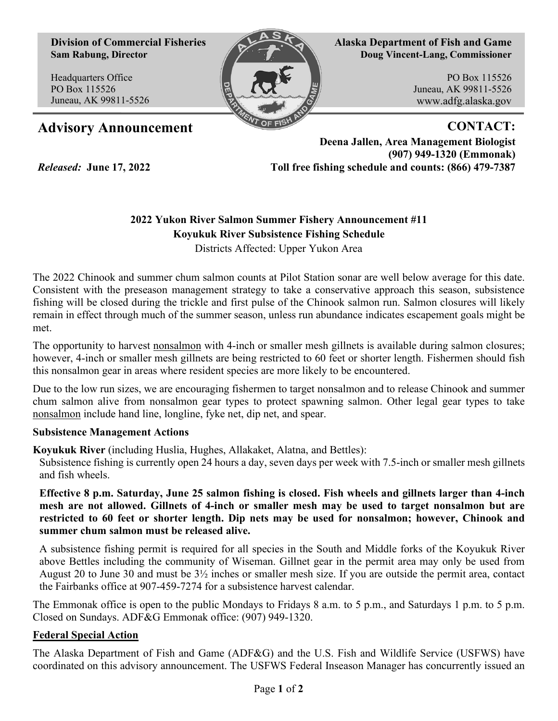**Division of Commercial Fisheries Sam Rabung, Director**

Headquarters Office PO Box 115526 Juneau, AK 99811-5526

*Released:* **June 17, 2022**



**Alaska Department of Fish and Game Doug Vincent-Lang, Commissioner**

> PO Box 115526 Juneau, AK 99811-5526 www.adfg.alaska.gov

## Advisory Announcement **CONTACT:**

**Deena Jallen, Area Management Biologist (907) 949-1320 (Emmonak) Toll free fishing schedule and counts: (866) 479-7387**

## **2022 Yukon River Salmon Summer Fishery Announcement #11 Koyukuk River Subsistence Fishing Schedule**

Districts Affected: Upper Yukon Area

The 2022 Chinook and summer chum salmon counts at Pilot Station sonar are well below average for this date. Consistent with the preseason management strategy to take a conservative approach this season, subsistence fishing will be closed during the trickle and first pulse of the Chinook salmon run. Salmon closures will likely remain in effect through much of the summer season, unless run abundance indicates escapement goals might be met.

The opportunity to harvest nonsalmon with 4-inch or smaller mesh gillnets is available during salmon closures; however, 4-inch or smaller mesh gillnets are being restricted to 60 feet or shorter length. Fishermen should fish this nonsalmon gear in areas where resident species are more likely to be encountered.

Due to the low run sizes, we are encouraging fishermen to target nonsalmon and to release Chinook and summer chum salmon alive from nonsalmon gear types to protect spawning salmon. Other legal gear types to take nonsalmon include hand line, longline, fyke net, dip net, and spear.

## **Subsistence Management Actions**

**Koyukuk River** (including Huslia, Hughes, Allakaket, Alatna, and Bettles):

Subsistence fishing is currently open 24 hours a day, seven days per week with 7.5-inch or smaller mesh gillnets and fish wheels.

**Effective 8 p.m. Saturday, June 25 salmon fishing is closed. Fish wheels and gillnets larger than 4-inch mesh are not allowed. Gillnets of 4-inch or smaller mesh may be used to target nonsalmon but are restricted to 60 feet or shorter length. Dip nets may be used for nonsalmon; however, Chinook and summer chum salmon must be released alive.** 

A subsistence fishing permit is required for all species in the South and Middle forks of the Koyukuk River above Bettles including the community of Wiseman. Gillnet gear in the permit area may only be used from August 20 to June 30 and must be 3½ inches or smaller mesh size. If you are outside the permit area, contact the Fairbanks office at 907-459-7274 for a subsistence harvest calendar.

The Emmonak office is open to the public Mondays to Fridays 8 a.m. to 5 p.m., and Saturdays 1 p.m. to 5 p.m. Closed on Sundays. ADF&G Emmonak office: (907) 949-1320.

## **Federal Special Action**

The Alaska Department of Fish and Game (ADF&G) and the U.S. Fish and Wildlife Service (USFWS) have coordinated on this advisory announcement. The USFWS Federal Inseason Manager has concurrently issued an